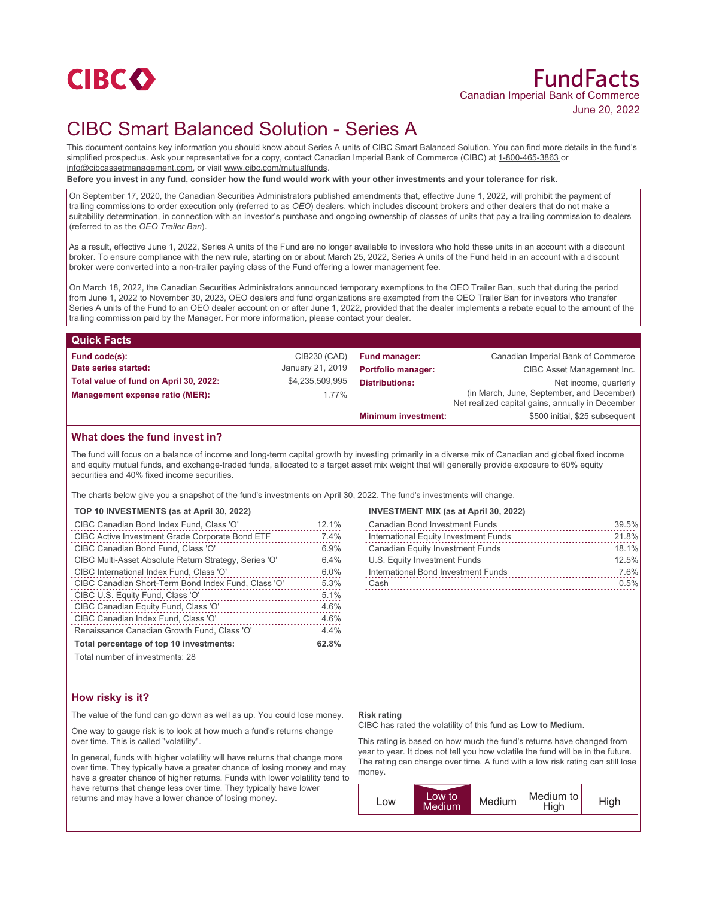

# FundFacts Canadian Imperial Bank of Commerce June 20, 2022

# CIBC Smart Balanced Solution - Series A

This document contains key information you should know about Series A units of CIBC Smart Balanced Solution. You can find more details in the fund's simplified prospectus. Ask your representative for a copy, contact Canadian Imperial Bank of Commerce (CIBC) at 1-800-465-3863 or info@cibcassetmanagement.com, or visit www.cibc.com/mutualfunds.

**Before you invest in any fund, consider how the fund would work with your other investments and your tolerance for risk.**

On September 17, 2020, the Canadian Securities Administrators published amendments that, effective June 1, 2022, will prohibit the payment of trailing commissions to order execution only (referred to as *OEO*) dealers, which includes discount brokers and other dealers that do not make a suitability determination, in connection with an investor's purchase and ongoing ownership of classes of units that pay a trailing commission to dealers (referred to as the *OEO Trailer Ban*).

As a result, effective June 1, 2022, Series A units of the Fund are no longer available to investors who hold these units in an account with a discount broker. To ensure compliance with the new rule, starting on or about March 25, 2022, Series A units of the Fund held in an account with a discount broker were converted into a non-trailer paying class of the Fund offering a lower management fee.

On March 18, 2022, the Canadian Securities Administrators announced temporary exemptions to the OEO Trailer Ban, such that during the period from June 1, 2022 to November 30, 2023, OEO dealers and fund organizations are exempted from the OEO Trailer Ban for investors who transfer Series A units of the Fund to an OEO dealer account on or after June 1, 2022, provided that the dealer implements a rebate equal to the amount of the trailing commission paid by the Manager. For more information, please contact your dealer.

| <b>Quick Facts</b>                     |                  |                            |                                                                                               |
|----------------------------------------|------------------|----------------------------|-----------------------------------------------------------------------------------------------|
| Fund code(s):                          | CIB230 (CAD)     | <b>Fund manager:</b>       | Canadian Imperial Bank of Commerce                                                            |
| Date series started:                   | January 21, 2019 | <b>Portfolio manager:</b>  | CIBC Asset Management Inc.                                                                    |
| Total value of fund on April 30, 2022: | \$4,235,509,995  | <b>Distributions:</b>      | Net income, quarterly                                                                         |
| Management expense ratio (MER):        | $1.77\%$         |                            | (in March, June, September, and December)<br>Net realized capital gains, annually in December |
|                                        |                  | <b>Minimum investment:</b> | \$500 initial, \$25 subsequent                                                                |

## **What does the fund invest in?**

The fund will focus on a balance of income and long-term capital growth by investing primarily in a diverse mix of Canadian and global fixed income and equity mutual funds, and exchange-traded funds, allocated to a target asset mix weight that will generally provide exposure to 60% equity securities and 40% fixed income securities.

The charts below give you a snapshot of the fund's investments on April 30, 2022. The fund's investments will change.

### **TOP 10 INVESTMENTS (as at April 30, 2022)**

| CIBC Canadian Bond Index Fund, Class 'O'              | 12.1% |
|-------------------------------------------------------|-------|
| CIBC Active Investment Grade Corporate Bond ETF       | 7.4%  |
| CIBC Canadian Bond Fund, Class 'O'                    | 6.9%  |
| CIBC Multi-Asset Absolute Return Strategy, Series 'O' | 6.4%  |
| CIBC International Index Fund, Class 'O'              | 6.0%  |
| CIBC Canadian Short-Term Bond Index Fund, Class 'O'   | 5.3%  |
| CIBC U.S. Equity Fund, Class 'O'                      | 5.1%  |
| CIBC Canadian Equity Fund, Class 'O'                  | 4.6%  |
| CIBC Canadian Index Fund, Class 'O'                   | 4.6%  |
| Renaissance Canadian Growth Fund, Class 'O'           | 4.4%  |
| Total percentage of top 10 investments:               | 62.8% |

Total number of investments: 28

### **INVESTMENT MIX (as at April 30, 2022)**

| <b>Canadian Bond Investment Funds</b>   | 39.5% |
|-----------------------------------------|-------|
| International Equity Investment Funds   | 21.8% |
| <b>Canadian Equity Investment Funds</b> | 18.1% |
| U.S. Equity Investment Funds            | 12.5% |
| International Bond Investment Funds     | 7.6%  |
| Cash                                    | 0.5%  |

## **How risky is it?**

The value of the fund can go down as well as up. You could lose money.

One way to gauge risk is to look at how much a fund's returns change over time. This is called "volatility".

In general, funds with higher volatility will have returns that change more over time. They typically have a greater chance of losing money and may have a greater chance of higher returns. Funds with lower volatility tend to have returns that change less over time. They typically have lower returns and may have a lower chance of losing money.

#### **Risk rating**

CIBC has rated the volatility of this fund as **Low to Medium**.

This rating is based on how much the fund's returns have changed from year to year. It does not tell you how volatile the fund will be in the future. The rating can change over time. A fund with a low risk rating can still lose money.

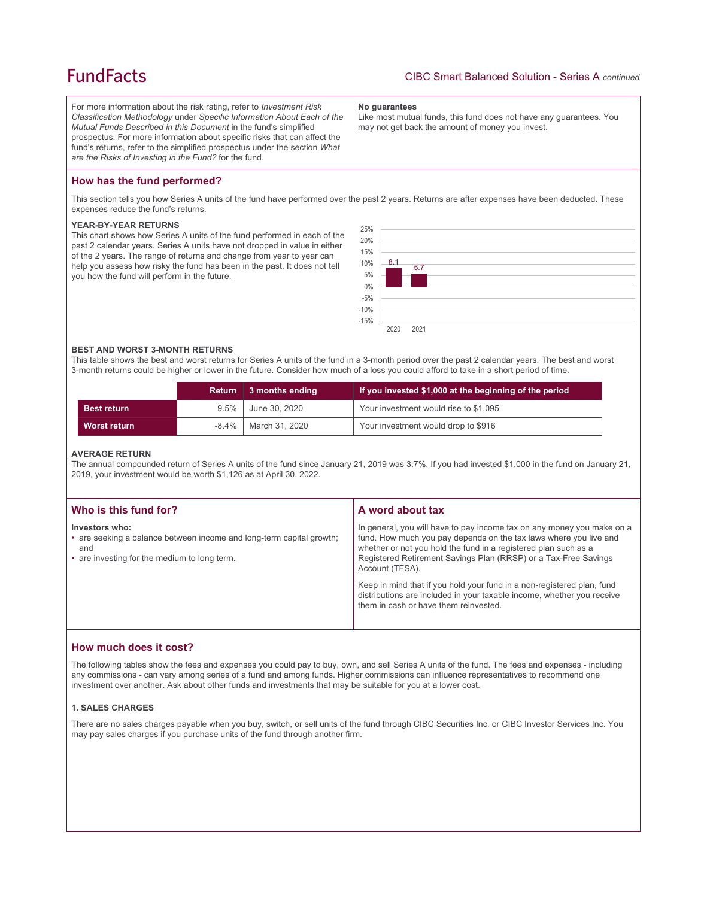# **FundFacts**

For more information about the risk rating, refer to *Investment Risk Classification Methodology* under *Specific Information About Each of the Mutual Funds Described in this Document* in the fund's simplified prospectus. For more information about specific risks that can affect the fund's returns, refer to the simplified prospectus under the section *What are the Risks of Investing in the Fund?* for the fund.

#### **No guarantees**

Like most mutual funds, this fund does not have any guarantees. You may not get back the amount of money you invest.

## **How has the fund performed?**

This section tells you how Series A units of the fund have performed over the past 2 years. Returns are after expenses have been deducted. These expenses reduce the fund's returns.

#### **YEAR-BY-YEAR RETURNS**

This chart shows how Series A units of the fund performed in each of the past 2 calendar years. Series A units have not dropped in value in either of the 2 years. The range of returns and change from year to year can help you assess how risky the fund has been in the past. It does not tell you how the fund will perform in the future.



#### **BEST AND WORST 3-MONTH RETURNS**

This table shows the best and worst returns for Series A units of the fund in a 3-month period over the past 2 calendar years. The best and worst 3-month returns could be higher or lower in the future. Consider how much of a loss you could afford to take in a short period of time.

|                     | <b>Return</b> | 3 months ending | If you invested \$1,000 at the beginning of the period |
|---------------------|---------------|-----------------|--------------------------------------------------------|
| <b>Best return</b>  | $9.5\%$       | June 30, 2020   | Your investment would rise to \$1,095                  |
| <b>Worst return</b> | $-8.4\%$      | March 31, 2020  | Your investment would drop to \$916                    |

#### **AVERAGE RETURN**

The annual compounded return of Series A units of the fund since January 21, 2019 was 3.7%. If you had invested \$1,000 in the fund on January 21, 2019, your investment would be worth \$1,126 as at April 30, 2022.

| Who is this fund for?                                                                                                                         | A word about tax                                                                                                                                                                                                                                                                                     |
|-----------------------------------------------------------------------------------------------------------------------------------------------|------------------------------------------------------------------------------------------------------------------------------------------------------------------------------------------------------------------------------------------------------------------------------------------------------|
| Investors who:<br>• are seeking a balance between income and long-term capital growth;<br>and<br>• are investing for the medium to long term. | In general, you will have to pay income tax on any money you make on a<br>fund. How much you pay depends on the tax laws where you live and<br>whether or not you hold the fund in a registered plan such as a<br>Registered Retirement Savings Plan (RRSP) or a Tax-Free Savings<br>Account (TFSA). |
|                                                                                                                                               | Keep in mind that if you hold your fund in a non-registered plan, fund<br>distributions are included in your taxable income, whether you receive<br>them in cash or have them reinvested.                                                                                                            |

### **How much does it cost?**

The following tables show the fees and expenses you could pay to buy, own, and sell Series A units of the fund. The fees and expenses - including any commissions - can vary among series of a fund and among funds. Higher commissions can influence representatives to recommend one investment over another. Ask about other funds and investments that may be suitable for you at a lower cost.

### **1. SALES CHARGES**

There are no sales charges payable when you buy, switch, or sell units of the fund through CIBC Securities Inc. or CIBC Investor Services Inc. You may pay sales charges if you purchase units of the fund through another firm.